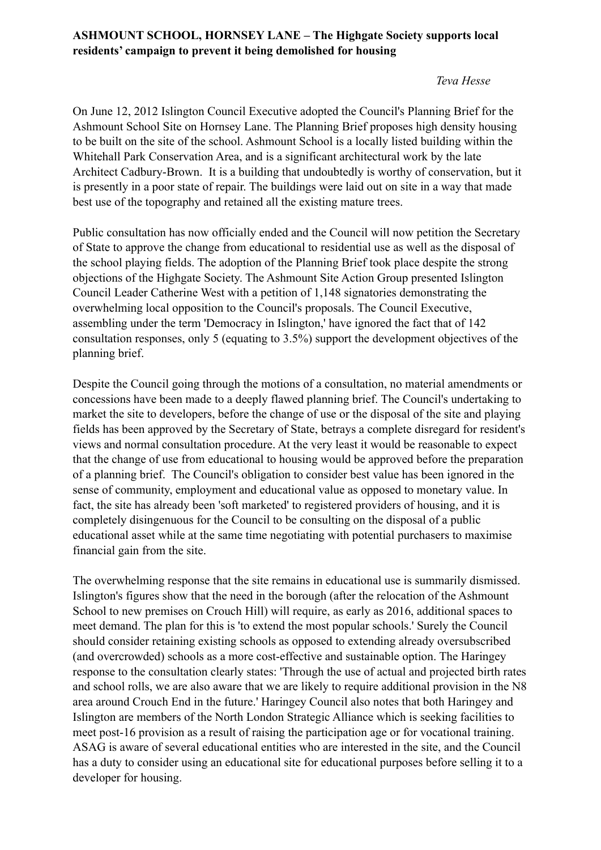## **ASHMOUNT SCHOOL, HORNSEY LANE – The Highgate Society supports local residents' campaign to prevent it being demolished for housing**

## *Teva Hesse*

On June 12, 2012 Islington Council Executive adopted the Council's Planning Brief for the Ashmount School Site on Hornsey Lane. The Planning Brief proposes high density housing to be built on the site of the school. Ashmount School is a locally listed building within the Whitehall Park Conservation Area, and is a significant architectural work by the late Architect Cadbury-Brown. It is a building that undoubtedly is worthy of conservation, but it is presently in a poor state of repair. The buildings were laid out on site in a way that made best use of the topography and retained all the existing mature trees.

Public consultation has now officially ended and the Council will now petition the Secretary of State to approve the change from educational to residential use as well as the disposal of the school playing fields. The adoption of the Planning Brief took place despite the strong objections of the Highgate Society. The Ashmount Site Action Group presented Islington Council Leader Catherine West with a petition of 1,148 signatories demonstrating the overwhelming local opposition to the Council's proposals. The Council Executive, assembling under the term 'Democracy in Islington,' have ignored the fact that of 142 consultation responses, only 5 (equating to 3.5%) support the development objectives of the planning brief.

Despite the Council going through the motions of a consultation, no material amendments or concessions have been made to a deeply flawed planning brief. The Council's undertaking to market the site to developers, before the change of use or the disposal of the site and playing fields has been approved by the Secretary of State, betrays a complete disregard for resident's views and normal consultation procedure. At the very least it would be reasonable to expect that the change of use from educational to housing would be approved before the preparation of a planning brief. The Council's obligation to consider best value has been ignored in the sense of community, employment and educational value as opposed to monetary value. In fact, the site has already been 'soft marketed' to registered providers of housing, and it is completely disingenuous for the Council to be consulting on the disposal of a public educational asset while at the same time negotiating with potential purchasers to maximise financial gain from the site.

The overwhelming response that the site remains in educational use is summarily dismissed. Islington's figures show that the need in the borough (after the relocation of the Ashmount School to new premises on Crouch Hill) will require, as early as 2016, additional spaces to meet demand. The plan for this is 'to extend the most popular schools.' Surely the Council should consider retaining existing schools as opposed to extending already oversubscribed (and overcrowded) schools as a more cost-effective and sustainable option. The Haringey response to the consultation clearly states: 'Through the use of actual and projected birth rates and school rolls, we are also aware that we are likely to require additional provision in the N8 area around Crouch End in the future.' Haringey Council also notes that both Haringey and Islington are members of the North London Strategic Alliance which is seeking facilities to meet post-16 provision as a result of raising the participation age or for vocational training. ASAG is aware of several educational entities who are interested in the site, and the Council has a duty to consider using an educational site for educational purposes before selling it to a developer for housing.